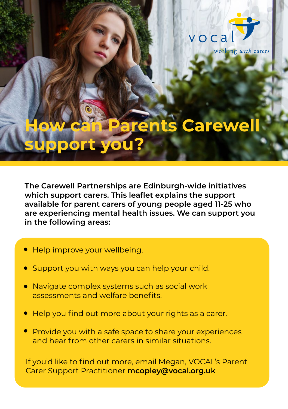

# **Arents Carewe support you?**

**The Carewell Partnerships are Edinburgh-wide initiatives which support carers. This leaflet explains the support available for parent carers of young people aged 11-25 who are experiencing mental health issues. We can support you in the following areas:** 

- **.** Help improve your wellbeing.
- **.** Support you with ways you can help your child.
- **.** Navigate complex systems such as social work assessments and welfare benefits.
- **.** Help you find out more about your rights as a carer.
- **.** Provide you with a safe space to share your experiences and hear from other carers in similar situations.

If you'd like to find out more, email Megan, VOCAL's Parent Carer Support Practitioner **mcopley@vocal.org.uk**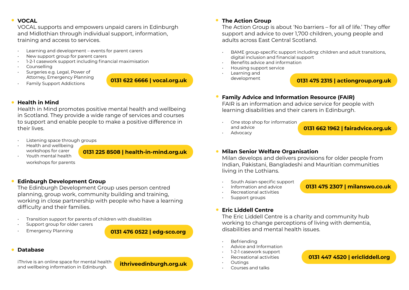#### **VOCAL .**

VOCAL supports and empowers unpaid carers in Edinburgh and Midlothian through individual support, information, training and access to services.

- Learning and development events for parent carers
- New support group for parent carers
- 1-2-1 casework support including financial maximisation
- Counselling
- Surgeries e.g. Legal, Power of Attorney, Emergency Planning
- Family Support Addictions

**0131 622 6666 | vocal.org.uk**

# **Health in Mind .**

Health in Mind promotes positive mental health and wellbeing in Scotland. They provide a wide range of services and courses to support and enable people to make a positive difference in their lives.

- Listening space through groups
- Health and wellbeing workshops for carer • Youth mental health

**0131 225 8508 | health-in-mind.org.uk**

workshops for parents

#### **Edinburgh Development Group .**

The Edinburgh Development Group uses person centred planning, group work, community building and training, working in close partnership with people who have a learning difficulty and their families.

- Transition support for parents of children with disabilities
- Support group for older carers
- Emergency Planning

**0131 476 0522 | edg-sco.org**

#### **Database .**

iThrive is an online space for mental health and wellbeing information in Edinburgh.

**ithriveedinburgh.org.uk**

#### **The Action Group .**

The Action Group is about 'No barriers – for all of life.' They offer support and advice to over 1,700 children, young people and adults across East Central Scotland.

- BAME group-specific support including: children and adult transitions, digital inclusion and financial support
- Benefits advice and information
- Housing support service
- Learning and development

**0131 475 2315 | actiongroup.org.uk**

#### **Family Advice and Information Resource (FAIR) .**

FAIR is an information and advice service for people with learning disabilities and their carers in Edinburgh.

• One stop shop for information and advice

#### **0131 662 1962 | fairadvice.org.uk**

**Advocacy** 

**0131 475 2307 | milanswo.co.uk**

#### **Milan Senior Welfare Organisation .**

Milan develops and delivers provisions for older people from Indian, Pakistani, Bangladeshi and Mauritian communities living in the Lothians.

- South Asian-specific support
- Information and advice
- Recreational activities
- Support groups

#### **Eric Liddell Centre .**

The Eric Liddell Centre is a charity and community hub working to change perceptions of living with dementia, disabilities and mental health issues.

- **Befriending**
- Advice and Information
- 1-2-1 casework support
- Recreational activities
- Outings
- Courses and talks

### **0131 447 4520 | ericliddell.org**